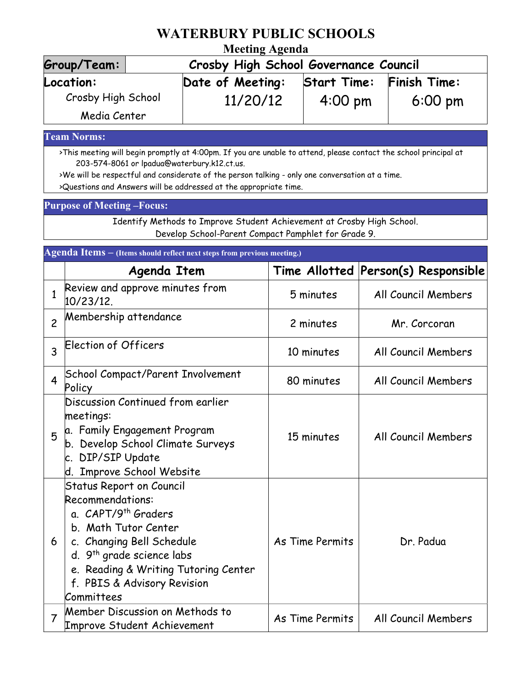## **WATERBURY PUBLIC SCHOOLS**

## **Meeting Agenda**

| Group/Team:        | Crosby High School Governance Council |                    |                     |  |
|--------------------|---------------------------------------|--------------------|---------------------|--|
| Location:          | Date of Meeting:                      | <b>Start Time:</b> | <b>Finish Time:</b> |  |
| Crosby High School | 11/20/12                              | $4:00 \text{ pm}$  | $6:00 \text{ pm}$   |  |
| Media Center       |                                       |                    |                     |  |

**Team Norms:**

>This meeting will begin promptly at 4:00pm. If you are unable to attend, please contact the school principal at 203-574-8061 or lpadua@waterbury.k12.ct.us.

>We will be respectful and considerate of the person talking - only one conversation at a time.

>Questions and Answers will be addressed at the appropriate time.

## **Purpose of Meeting –Focus:**

Identify Methods to Improve Student Achievement at Crosby High School. Develop School-Parent Compact Pamphlet for Grade 9.

| Agenda Items - (Items should reflect next steps from previous meeting.) |                                                                                                                                                                                                                                                                                  |                 |                                     |  |  |
|-------------------------------------------------------------------------|----------------------------------------------------------------------------------------------------------------------------------------------------------------------------------------------------------------------------------------------------------------------------------|-----------------|-------------------------------------|--|--|
|                                                                         | Agenda Item                                                                                                                                                                                                                                                                      |                 | Time Allotted Person(s) Responsible |  |  |
| $\mathbf{1}$                                                            | Review and approve minutes from<br>10/23/12.                                                                                                                                                                                                                                     | 5 minutes       | All Council Members                 |  |  |
| $\overline{c}$                                                          | Membership attendance                                                                                                                                                                                                                                                            | 2 minutes       | Mr. Corcoran                        |  |  |
| 3                                                                       | <b>Election of Officers</b>                                                                                                                                                                                                                                                      | 10 minutes      | All Council Members                 |  |  |
| $\overline{\mathbf{4}}$                                                 | <b>School Compact/Parent Involvement</b><br>Policy                                                                                                                                                                                                                               | 80 minutes      | All Council Members                 |  |  |
| 5                                                                       | Discussion Continued from earlier<br>meetings:<br>a. Family Engagement Program<br>b. Develop School Climate Surveys<br>c. DIP/SIP Update<br>d. Improve School Website                                                                                                            | 15 minutes      | All Council Members                 |  |  |
| 6                                                                       | <b>Status Report on Council</b><br><b>Recommendations:</b><br>a. CAPT/9 <sup>th</sup> Graders<br>b. Math Tutor Center<br>c. Changing Bell Schedule<br>d. 9 <sup>th</sup> grade science labs<br>e. Reading & Writing Tutoring Center<br>f. PBIS & Advisory Revision<br>Committees | As Time Permits | Dr. Padua                           |  |  |
| $\overline{7}$                                                          | Member Discussion on Methods to<br><b>Improve Student Achievement</b>                                                                                                                                                                                                            | As Time Permits | All Council Members                 |  |  |